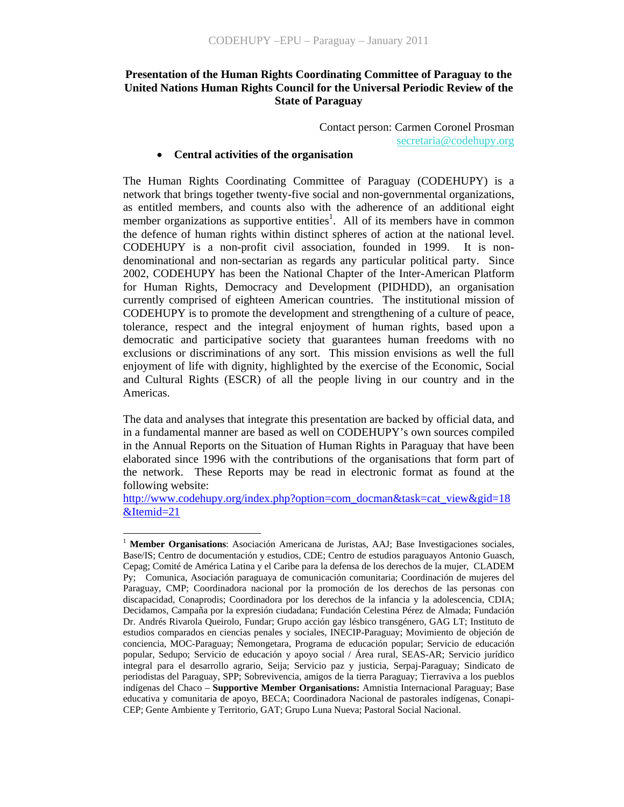## **Presentation of the Human Rights Coordinating Committee of Paraguay to the United Nations Human Rights Council for the Universal Periodic Review of the State of Paraguay**

Contact person: Carmen Coronel Prosman secretaria@codehupy.org

#### • **Central activities of the organisation**

The Human Rights Coordinating Committee of Paraguay (CODEHUPY) is a network that brings together twenty-five social and non-governmental organizations, as entitled members, and counts also with the adherence of an additional eight member organizations as supportive entities<sup>1</sup>. All of its members have in common the defence of human rights within distinct spheres of action at the national level. CODEHUPY is a non-profit civil association, founded in 1999. It is nondenominational and non-sectarian as regards any particular political party. Since 2002, CODEHUPY has been the National Chapter of the Inter-American Platform for Human Rights, Democracy and Development (PIDHDD), an organisation currently comprised of eighteen American countries. The institutional mission of CODEHUPY is to promote the development and strengthening of a culture of peace, tolerance, respect and the integral enjoyment of human rights, based upon a democratic and participative society that guarantees human freedoms with no exclusions or discriminations of any sort. This mission envisions as well the full enjoyment of life with dignity, highlighted by the exercise of the Economic, Social and Cultural Rights (ESCR) of all the people living in our country and in the Americas.

The data and analyses that integrate this presentation are backed by official data, and in a fundamental manner are based as well on CODEHUPY's own sources compiled in the Annual Reports on the Situation of Human Rights in Paraguay that have been elaborated since 1996 with the contributions of the organisations that form part of the network. These Reports may be read in electronic format as found at the following website:

http://www.codehupy.org/index.php?option=com\_docman&task=cat\_view&gid=18 &Itemid=21

 $\overline{a}$ 

<sup>1</sup> **Member Organisations**: Asociación Americana de Juristas, AAJ; Base Investigaciones sociales, Base/IS; Centro de documentación y estudios, CDE; Centro de estudios paraguayos Antonio Guasch, Cepag; Comité de América Latina y el Caribe para la defensa de los derechos de la mujer, CLADEM Py; Comunica, Asociación paraguaya de comunicación comunitaria; Coordinación de mujeres del Paraguay, CMP; Coordinadora nacional por la promoción de los derechos de las personas con discapacidad, Conaprodis; Coordinadora por los derechos de la infancia y la adolescencia, CDIA; Decidamos, Campaña por la expresión ciudadana; Fundación Celestina Pérez de Almada; Fundación Dr. Andrés Rivarola Queirolo, Fundar; Grupo acción gay lésbico transgénero, GAG LT; Instituto de estudios comparados en ciencias penales y sociales, INECIP-Paraguay; Movimiento de objeción de conciencia, MOC-Paraguay; Ñemongetara, Programa de educación popular; Servicio de educación popular, Sedupo; Servicio de educación y apoyo social / Área rural, SEAS-AR; Servicio jurídico integral para el desarrollo agrario, Seija; Servicio paz y justicia, Serpaj-Paraguay; Sindicato de periodistas del Paraguay, SPP; Sobrevivencia, amigos de la tierra Paraguay; Tierraviva a los pueblos indígenas del Chaco – **Supportive Member Organisations:** Amnistia Internacional Paraguay; Base educativa y comunitaria de apoyo, BECA; Coordinadora Nacional de pastorales indígenas, Conapi-CEP; Gente Ambiente y Territorio, GAT; Grupo Luna Nueva; Pastoral Social Nacional.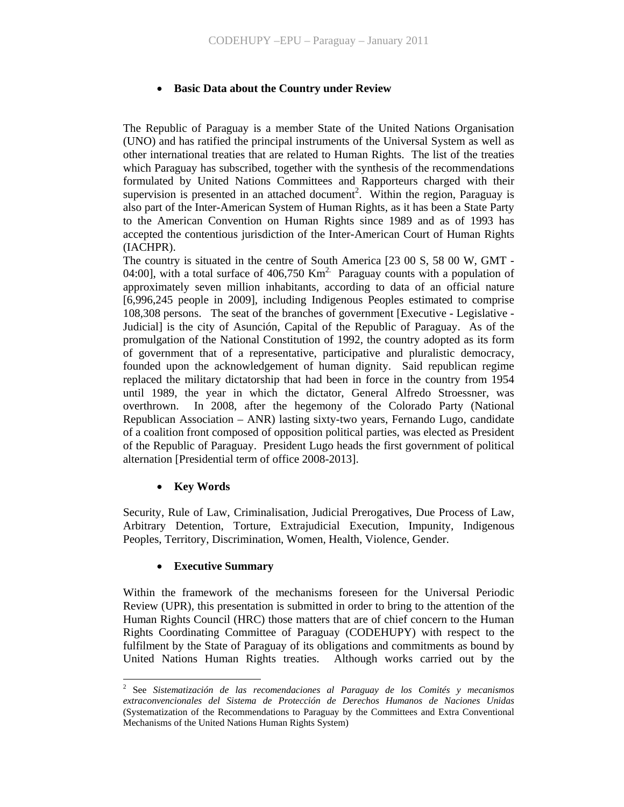### • **Basic Data about the Country under Review**

The Republic of Paraguay is a member State of the United Nations Organisation (UNO) and has ratified the principal instruments of the Universal System as well as other international treaties that are related to Human Rights. The list of the treaties which Paraguay has subscribed, together with the synthesis of the recommendations formulated by United Nations Committees and Rapporteurs charged with their supervision is presented in an attached document<sup>2</sup>. Within the region, Paraguay is also part of the Inter-American System of Human Rights, as it has been a State Party to the American Convention on Human Rights since 1989 and as of 1993 has accepted the contentious jurisdiction of the Inter-American Court of Human Rights (IACHPR).

The country is situated in the centre of South America [23 00 S, 58 00 W, GMT - 04:00], with a total surface of 406,750 Km<sup>2.</sup> Paraguay counts with a population of approximately seven million inhabitants, according to data of an official nature [6,996,245 people in 2009], including Indigenous Peoples estimated to comprise 108,308 persons. The seat of the branches of government [Executive - Legislative - Judicial] is the city of Asunción, Capital of the Republic of Paraguay. As of the promulgation of the National Constitution of 1992, the country adopted as its form of government that of a representative, participative and pluralistic democracy, founded upon the acknowledgement of human dignity. Said republican regime replaced the military dictatorship that had been in force in the country from 1954 until 1989, the year in which the dictator, General Alfredo Stroessner, was overthrown. In 2008, after the hegemony of the Colorado Party (National Republican Association – ANR) lasting sixty-two years, Fernando Lugo, candidate of a coalition front composed of opposition political parties, was elected as President of the Republic of Paraguay. President Lugo heads the first government of political alternation [Presidential term of office 2008-2013].

### • **Key Words**

Security, Rule of Law, Criminalisation, Judicial Prerogatives, Due Process of Law, Arbitrary Detention, Torture, Extrajudicial Execution, Impunity, Indigenous Peoples, Territory, Discrimination, Women, Health, Violence, Gender.

### • **Executive Summary**

Within the framework of the mechanisms foreseen for the Universal Periodic Review (UPR), this presentation is submitted in order to bring to the attention of the Human Rights Council (HRC) those matters that are of chief concern to the Human Rights Coordinating Committee of Paraguay (CODEHUPY) with respect to the fulfilment by the State of Paraguay of its obligations and commitments as bound by United Nations Human Rights treaties. Although works carried out by the

 $\frac{1}{2}$  See *Sistematización de las recomendaciones al Paraguay de los Comités y mecanismos extraconvencionales del Sistema de Protección de Derechos Humanos de Naciones Unidas*  (Systematization of the Recommendations to Paraguay by the Committees and Extra Conventional Mechanisms of the United Nations Human Rights System)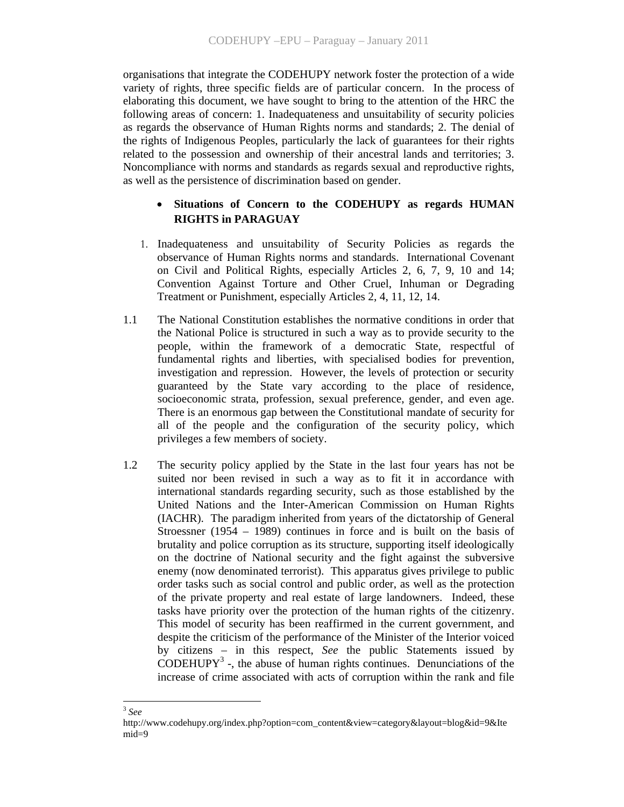organisations that integrate the CODEHUPY network foster the protection of a wide variety of rights, three specific fields are of particular concern. In the process of elaborating this document, we have sought to bring to the attention of the HRC the following areas of concern: 1. Inadequateness and unsuitability of security policies as regards the observance of Human Rights norms and standards; 2. The denial of the rights of Indigenous Peoples, particularly the lack of guarantees for their rights related to the possession and ownership of their ancestral lands and territories; 3. Noncompliance with norms and standards as regards sexual and reproductive rights, as well as the persistence of discrimination based on gender.

# Situations of Concern to the CODEHUPY as regards HUMAN **RIGHTS in PARAGUAY**

- 1. Inadequateness and unsuitability of Security Policies as regards the observance of Human Rights norms and standards. International Covenant on Civil and Political Rights, especially Articles 2, 6, 7, 9, 10 and 14; Convention Against Torture and Other Cruel, Inhuman or Degrading Treatment or Punishment, especially Articles 2, 4, 11, 12, 14.
- 1.1 The National Constitution establishes the normative conditions in order that the National Police is structured in such a way as to provide security to the people, within the framework of a democratic State, respectful of fundamental rights and liberties, with specialised bodies for prevention, investigation and repression. However, the levels of protection or security guaranteed by the State vary according to the place of residence, socioeconomic strata, profession, sexual preference, gender, and even age. There is an enormous gap between the Constitutional mandate of security for all of the people and the configuration of the security policy, which privileges a few members of society.
- 1.2 The security policy applied by the State in the last four years has not be suited nor been revised in such a way as to fit it in accordance with international standards regarding security, such as those established by the United Nations and the Inter-American Commission on Human Rights (IACHR). The paradigm inherited from years of the dictatorship of General Stroessner (1954 – 1989) continues in force and is built on the basis of brutality and police corruption as its structure, supporting itself ideologically on the doctrine of National security and the fight against the subversive enemy (now denominated terrorist). This apparatus gives privilege to public order tasks such as social control and public order, as well as the protection of the private property and real estate of large landowners. Indeed, these tasks have priority over the protection of the human rights of the citizenry. This model of security has been reaffirmed in the current government, and despite the criticism of the performance of the Minister of the Interior voiced by citizens – in this respect, *See* the public Statements issued by  $\widehat{C}$ ODEHUPY<sup>3</sup> -, the abuse of human rights continues. Denunciations of the increase of crime associated with acts of corruption within the rank and file

 $\overline{a}$ <sup>3</sup> *See*

http://www.codehupy.org/index.php?option=com\_content&view=category&layout=blog&id=9&Ite mid=9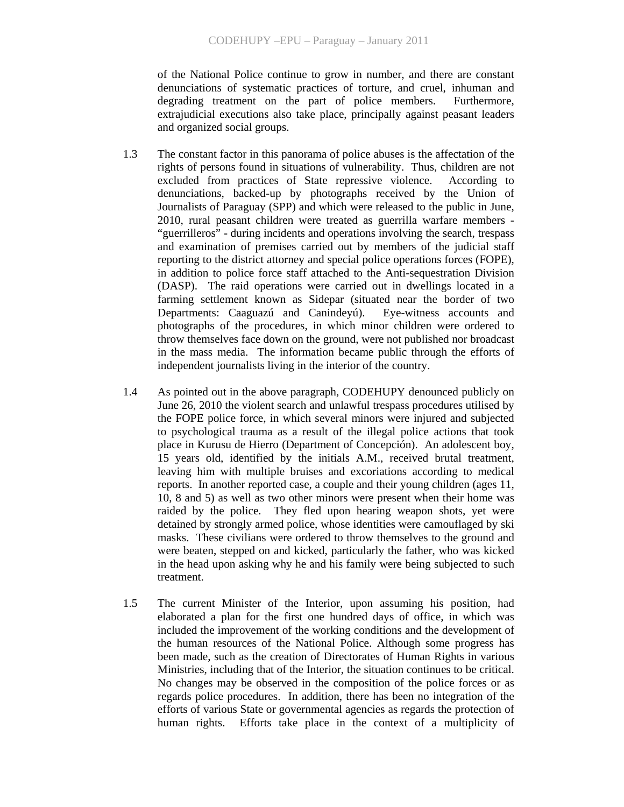of the National Police continue to grow in number, and there are constant denunciations of systematic practices of torture, and cruel, inhuman and degrading treatment on the part of police members. Furthermore, extrajudicial executions also take place, principally against peasant leaders and organized social groups.

- 1.3 The constant factor in this panorama of police abuses is the affectation of the rights of persons found in situations of vulnerability. Thus, children are not excluded from practices of State repressive violence. According to denunciations, backed-up by photographs received by the Union of Journalists of Paraguay (SPP) and which were released to the public in June, 2010, rural peasant children were treated as guerrilla warfare members - "guerrilleros" - during incidents and operations involving the search, trespass and examination of premises carried out by members of the judicial staff reporting to the district attorney and special police operations forces (FOPE), in addition to police force staff attached to the Anti-sequestration Division (DASP). The raid operations were carried out in dwellings located in a farming settlement known as Sidepar (situated near the border of two Departments: Caaguazú and Canindeyú). Eye-witness accounts and photographs of the procedures, in which minor children were ordered to throw themselves face down on the ground, were not published nor broadcast in the mass media. The information became public through the efforts of independent journalists living in the interior of the country.
- 1.4 As pointed out in the above paragraph, CODEHUPY denounced publicly on June 26, 2010 the violent search and unlawful trespass procedures utilised by the FOPE police force, in which several minors were injured and subjected to psychological trauma as a result of the illegal police actions that took place in Kurusu de Hierro (Department of Concepción). An adolescent boy, 15 years old, identified by the initials A.M., received brutal treatment, leaving him with multiple bruises and excoriations according to medical reports. In another reported case, a couple and their young children (ages 11, 10, 8 and 5) as well as two other minors were present when their home was raided by the police. They fled upon hearing weapon shots, yet were detained by strongly armed police, whose identities were camouflaged by ski masks. These civilians were ordered to throw themselves to the ground and were beaten, stepped on and kicked, particularly the father, who was kicked in the head upon asking why he and his family were being subjected to such treatment.
- 1.5 The current Minister of the Interior, upon assuming his position, had elaborated a plan for the first one hundred days of office, in which was included the improvement of the working conditions and the development of the human resources of the National Police. Although some progress has been made, such as the creation of Directorates of Human Rights in various Ministries, including that of the Interior, the situation continues to be critical. No changes may be observed in the composition of the police forces or as regards police procedures. In addition, there has been no integration of the efforts of various State or governmental agencies as regards the protection of human rights. Efforts take place in the context of a multiplicity of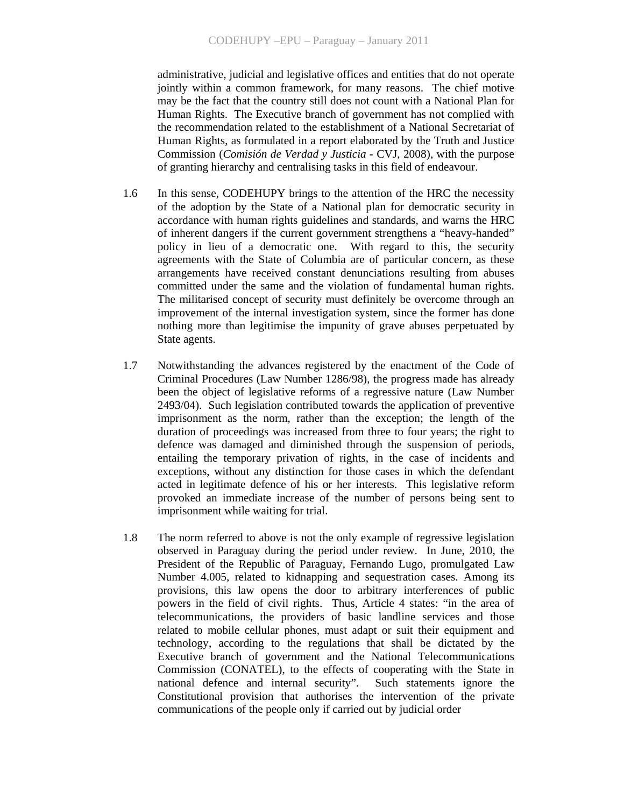administrative, judicial and legislative offices and entities that do not operate jointly within a common framework, for many reasons. The chief motive may be the fact that the country still does not count with a National Plan for Human Rights. The Executive branch of government has not complied with the recommendation related to the establishment of a National Secretariat of Human Rights, as formulated in a report elaborated by the Truth and Justice Commission (*Comisión de Verdad y Justicia* - CVJ, 2008), with the purpose of granting hierarchy and centralising tasks in this field of endeavour.

- 1.6 In this sense, CODEHUPY brings to the attention of the HRC the necessity of the adoption by the State of a National plan for democratic security in accordance with human rights guidelines and standards, and warns the HRC of inherent dangers if the current government strengthens a "heavy-handed" policy in lieu of a democratic one. With regard to this, the security agreements with the State of Columbia are of particular concern, as these arrangements have received constant denunciations resulting from abuses committed under the same and the violation of fundamental human rights. The militarised concept of security must definitely be overcome through an improvement of the internal investigation system, since the former has done nothing more than legitimise the impunity of grave abuses perpetuated by State agents.
- 1.7 Notwithstanding the advances registered by the enactment of the Code of Criminal Procedures (Law Number 1286/98), the progress made has already been the object of legislative reforms of a regressive nature (Law Number 2493/04). Such legislation contributed towards the application of preventive imprisonment as the norm, rather than the exception; the length of the duration of proceedings was increased from three to four years; the right to defence was damaged and diminished through the suspension of periods, entailing the temporary privation of rights, in the case of incidents and exceptions, without any distinction for those cases in which the defendant acted in legitimate defence of his or her interests. This legislative reform provoked an immediate increase of the number of persons being sent to imprisonment while waiting for trial.
- 1.8 The norm referred to above is not the only example of regressive legislation observed in Paraguay during the period under review. In June, 2010, the President of the Republic of Paraguay, Fernando Lugo, promulgated Law Number 4.005, related to kidnapping and sequestration cases. Among its provisions, this law opens the door to arbitrary interferences of public powers in the field of civil rights. Thus, Article 4 states: "in the area of telecommunications, the providers of basic landline services and those related to mobile cellular phones, must adapt or suit their equipment and technology, according to the regulations that shall be dictated by the Executive branch of government and the National Telecommunications Commission (CONATEL), to the effects of cooperating with the State in national defence and internal security". Such statements ignore the Constitutional provision that authorises the intervention of the private communications of the people only if carried out by judicial order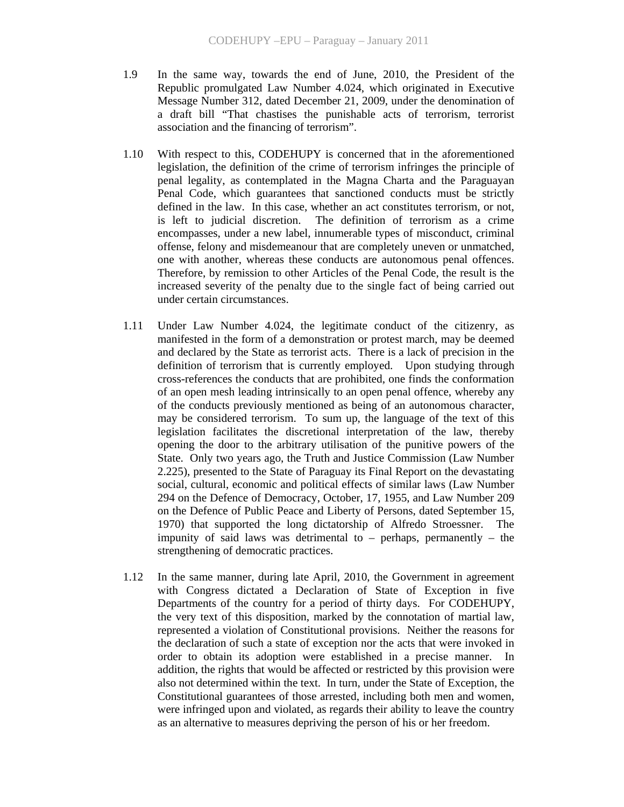- 1.9 In the same way, towards the end of June, 2010, the President of the Republic promulgated Law Number 4.024, which originated in Executive Message Number 312, dated December 21, 2009, under the denomination of a draft bill "That chastises the punishable acts of terrorism, terrorist association and the financing of terrorism".
- 1.10 With respect to this, CODEHUPY is concerned that in the aforementioned legislation, the definition of the crime of terrorism infringes the principle of penal legality, as contemplated in the Magna Charta and the Paraguayan Penal Code, which guarantees that sanctioned conducts must be strictly defined in the law. In this case, whether an act constitutes terrorism, or not, is left to judicial discretion. The definition of terrorism as a crime encompasses, under a new label, innumerable types of misconduct, criminal offense, felony and misdemeanour that are completely uneven or unmatched, one with another, whereas these conducts are autonomous penal offences. Therefore, by remission to other Articles of the Penal Code, the result is the increased severity of the penalty due to the single fact of being carried out under certain circumstances.
- 1.11 Under Law Number 4.024, the legitimate conduct of the citizenry, as manifested in the form of a demonstration or protest march, may be deemed and declared by the State as terrorist acts. There is a lack of precision in the definition of terrorism that is currently employed. Upon studying through cross-references the conducts that are prohibited, one finds the conformation of an open mesh leading intrinsically to an open penal offence, whereby any of the conducts previously mentioned as being of an autonomous character, may be considered terrorism. To sum up, the language of the text of this legislation facilitates the discretional interpretation of the law, thereby opening the door to the arbitrary utilisation of the punitive powers of the State. Only two years ago, the Truth and Justice Commission (Law Number 2.225), presented to the State of Paraguay its Final Report on the devastating social, cultural, economic and political effects of similar laws (Law Number 294 on the Defence of Democracy, October, 17, 1955, and Law Number 209 on the Defence of Public Peace and Liberty of Persons, dated September 15, 1970) that supported the long dictatorship of Alfredo Stroessner. The impunity of said laws was detrimental to – perhaps, permanently – the strengthening of democratic practices.
- 1.12 In the same manner, during late April, 2010, the Government in agreement with Congress dictated a Declaration of State of Exception in five Departments of the country for a period of thirty days. For CODEHUPY, the very text of this disposition, marked by the connotation of martial law, represented a violation of Constitutional provisions. Neither the reasons for the declaration of such a state of exception nor the acts that were invoked in order to obtain its adoption were established in a precise manner. In addition, the rights that would be affected or restricted by this provision were also not determined within the text. In turn, under the State of Exception, the Constitutional guarantees of those arrested, including both men and women, were infringed upon and violated, as regards their ability to leave the country as an alternative to measures depriving the person of his or her freedom.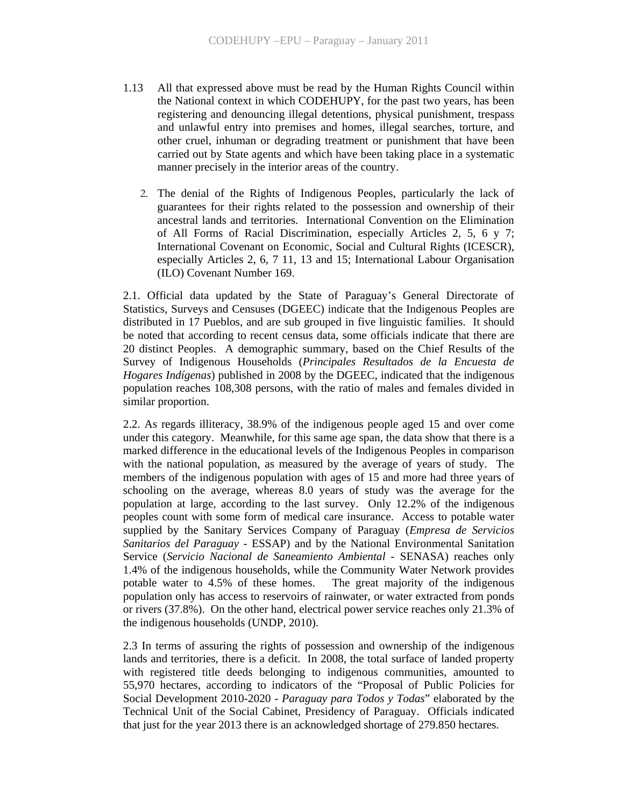- 1.13 All that expressed above must be read by the Human Rights Council within the National context in which CODEHUPY, for the past two years, has been registering and denouncing illegal detentions, physical punishment, trespass and unlawful entry into premises and homes, illegal searches, torture, and other cruel, inhuman or degrading treatment or punishment that have been carried out by State agents and which have been taking place in a systematic manner precisely in the interior areas of the country.
	- 2. The denial of the Rights of Indigenous Peoples, particularly the lack of guarantees for their rights related to the possession and ownership of their ancestral lands and territories. International Convention on the Elimination of All Forms of Racial Discrimination, especially Articles 2, 5, 6 y 7; International Covenant on Economic, Social and Cultural Rights (ICESCR), especially Articles 2, 6, 7 11, 13 and 15; International Labour Organisation (ILO) Covenant Number 169.

2.1. Official data updated by the State of Paraguay's General Directorate of Statistics, Surveys and Censuses (DGEEC) indicate that the Indigenous Peoples are distributed in 17 Pueblos, and are sub grouped in five linguistic families. It should be noted that according to recent census data, some officials indicate that there are 20 distinct Peoples. A demographic summary, based on the Chief Results of the Survey of Indigenous Households (*Principales Resultados de la Encuesta de Hogares Indígenas*) published in 2008 by the DGEEC, indicated that the indigenous population reaches 108,308 persons, with the ratio of males and females divided in similar proportion.

2.2. As regards illiteracy, 38.9% of the indigenous people aged 15 and over come under this category. Meanwhile, for this same age span, the data show that there is a marked difference in the educational levels of the Indigenous Peoples in comparison with the national population, as measured by the average of years of study. The members of the indigenous population with ages of 15 and more had three years of schooling on the average, whereas 8.0 years of study was the average for the population at large, according to the last survey. Only 12.2% of the indigenous peoples count with some form of medical care insurance. Access to potable water supplied by the Sanitary Services Company of Paraguay (*Empresa de Servicios Sanitarios del Paraguay* - ESSAP) and by the National Environmental Sanitation Service (*Servicio Nacional de Saneamiento Ambiental* - SENASA) reaches only 1.4% of the indigenous households, while the Community Water Network provides potable water to 4.5% of these homes. The great majority of the indigenous population only has access to reservoirs of rainwater, or water extracted from ponds or rivers (37.8%). On the other hand, electrical power service reaches only 21.3% of the indigenous households (UNDP, 2010).

2.3 In terms of assuring the rights of possession and ownership of the indigenous lands and territories, there is a deficit. In 2008, the total surface of landed property with registered title deeds belonging to indigenous communities, amounted to 55,970 hectares, according to indicators of the "Proposal of Public Policies for Social Development 2010-2020 - *Paraguay para Todos y Todas*" elaborated by the Technical Unit of the Social Cabinet, Presidency of Paraguay. Officials indicated that just for the year 2013 there is an acknowledged shortage of 279.850 hectares.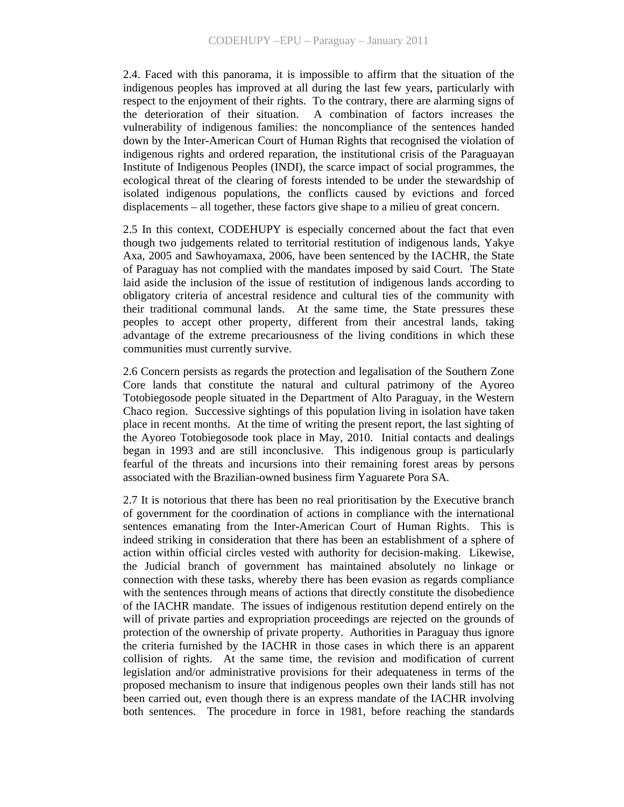2.4. Faced with this panorama, it is impossible to affirm that the situation of the indigenous peoples has improved at all during the last few years, particularly with respect to the enjoyment of their rights. To the contrary, there are alarming signs of the deterioration of their situation. A combination of factors increases the vulnerability of indigenous families: the noncompliance of the sentences handed down by the Inter-American Court of Human Rights that recognised the violation of indigenous rights and ordered reparation, the institutional crisis of the Paraguayan Institute of Indigenous Peoples (INDI), the scarce impact of social programmes, the ecological threat of the clearing of forests intended to be under the stewardship of isolated indigenous populations, the conflicts caused by evictions and forced displacements – all together, these factors give shape to a milieu of great concern.

2.5 In this context, CODEHUPY is especially concerned about the fact that even though two judgements related to territorial restitution of indigenous lands, Yakye Axa, 2005 and Sawhoyamaxa, 2006, have been sentenced by the IACHR, the State of Paraguay has not complied with the mandates imposed by said Court. The State laid aside the inclusion of the issue of restitution of indigenous lands according to obligatory criteria of ancestral residence and cultural ties of the community with their traditional communal lands. At the same time, the State pressures these peoples to accept other property, different from their ancestral lands, taking advantage of the extreme precariousness of the living conditions in which these communities must currently survive.

2.6 Concern persists as regards the protection and legalisation of the Southern Zone Core lands that constitute the natural and cultural patrimony of the Ayoreo Totobiegosode people situated in the Department of Alto Paraguay, in the Western Chaco region. Successive sightings of this population living in isolation have taken place in recent months. At the time of writing the present report, the last sighting of the Ayoreo Totobiegosode took place in May, 2010. Initial contacts and dealings began in 1993 and are still inconclusive. This indigenous group is particularly fearful of the threats and incursions into their remaining forest areas by persons associated with the Brazilian-owned business firm Yaguarete Pora SA.

2.7 It is notorious that there has been no real prioritisation by the Executive branch of government for the coordination of actions in compliance with the international sentences emanating from the Inter-American Court of Human Rights. This is indeed striking in consideration that there has been an establishment of a sphere of action within official circles vested with authority for decision-making. Likewise, the Judicial branch of government has maintained absolutely no linkage or connection with these tasks, whereby there has been evasion as regards compliance with the sentences through means of actions that directly constitute the disobedience of the IACHR mandate. The issues of indigenous restitution depend entirely on the will of private parties and expropriation proceedings are rejected on the grounds of protection of the ownership of private property. Authorities in Paraguay thus ignore the criteria furnished by the IACHR in those cases in which there is an apparent collision of rights. At the same time, the revision and modification of current legislation and/or administrative provisions for their adequateness in terms of the proposed mechanism to insure that indigenous peoples own their lands still has not been carried out, even though there is an express mandate of the IACHR involving both sentences. The procedure in force in 1981, before reaching the standards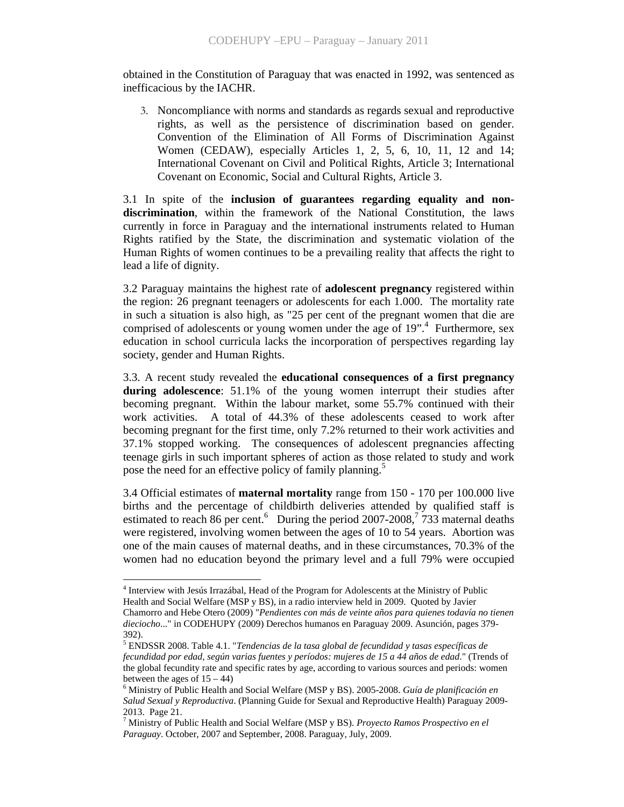obtained in the Constitution of Paraguay that was enacted in 1992, was sentenced as inefficacious by the IACHR.

3. Noncompliance with norms and standards as regards sexual and reproductive rights, as well as the persistence of discrimination based on gender. Convention of the Elimination of All Forms of Discrimination Against Women (CEDAW), especially Articles 1, 2, 5, 6, 10, 11, 12 and 14; International Covenant on Civil and Political Rights, Article 3; International Covenant on Economic, Social and Cultural Rights, Article 3.

3.1 In spite of the **inclusion of guarantees regarding equality and nondiscrimination**, within the framework of the National Constitution, the laws currently in force in Paraguay and the international instruments related to Human Rights ratified by the State, the discrimination and systematic violation of the Human Rights of women continues to be a prevailing reality that affects the right to lead a life of dignity.

3.2 Paraguay maintains the highest rate of **adolescent pregnancy** registered within the region: 26 pregnant teenagers or adolescents for each 1.000. The mortality rate in such a situation is also high, as "25 per cent of the pregnant women that die are comprised of adolescents or young women under the age of  $19$ ".<sup>4</sup> Furthermore, sex education in school curricula lacks the incorporation of perspectives regarding lay society, gender and Human Rights.

3.3. A recent study revealed the **educational consequences of a first pregnancy during adolescence**: 51.1% of the young women interrupt their studies after becoming pregnant. Within the labour market, some 55.7% continued with their work activities. A total of 44.3% of these adolescents ceased to work after becoming pregnant for the first time, only 7.2% returned to their work activities and 37.1% stopped working. The consequences of adolescent pregnancies affecting teenage girls in such important spheres of action as those related to study and work pose the need for an effective policy of family planning.<sup>5</sup>

3.4 Official estimates of **maternal mortality** range from 150 - 170 per 100.000 live births and the percentage of childbirth deliveries attended by qualified staff is estimated to reach 86 per cent.<sup>6</sup> During the period 2007-2008,<sup>7</sup> 733 maternal deaths were registered, involving women between the ages of 10 to 54 years. Abortion was one of the main causes of maternal deaths, and in these circumstances, 70.3% of the women had no education beyond the primary level and a full 79% were occupied

 $\overline{a}$ 

<sup>&</sup>lt;sup>4</sup> Interview with Jesús Irrazábal, Head of the Program for Adolescents at the Ministry of Public Health and Social Welfare (MSP y BS), in a radio interview held in 2009. Quoted by Javier Chamorro and Hebe Otero (2009) "*Pendientes con más de veinte años para quienes todavía no tienen dieciocho*..." in CODEHUPY (2009) Derechos humanos en Paraguay 2009. Asunción, pages 379- 392).

<sup>5</sup> ENDSSR 2008. Table 4.1. "*Tendencias de la tasa global de fecundidad y tasas específicas de fecundidad por edad, según varias fuentes y períodos: mujeres de 15 a 44 años de edad*." (Trends of the global fecundity rate and specific rates by age, according to various sources and periods: women between the ages of  $15 - 44$ )

<sup>6</sup> Ministry of Public Health and Social Welfare (MSP y BS). 2005-2008. *Guía de planificación en Salud Sexual y Reproductiva*. (Planning Guide for Sexual and Reproductive Health) Paraguay 2009- 2013. Page 21.

<sup>7</sup> Ministry of Public Health and Social Welfare (MSP y BS). *Proyecto Ramos Prospectivo en el Paraguay*. October, 2007 and September, 2008. Paraguay, July, 2009.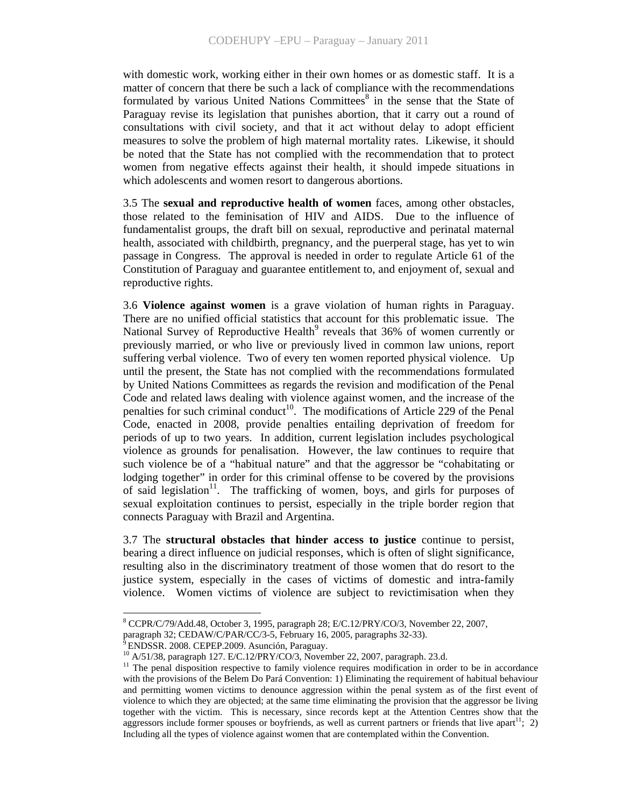with domestic work, working either in their own homes or as domestic staff. It is a matter of concern that there be such a lack of compliance with the recommendations formulated by various United Nations Committees<sup>8</sup> in the sense that the State of Paraguay revise its legislation that punishes abortion, that it carry out a round of consultations with civil society, and that it act without delay to adopt efficient measures to solve the problem of high maternal mortality rates. Likewise, it should be noted that the State has not complied with the recommendation that to protect women from negative effects against their health, it should impede situations in which adolescents and women resort to dangerous abortions.

3.5 The **sexual and reproductive health of women** faces, among other obstacles, those related to the feminisation of HIV and AIDS. Due to the influence of fundamentalist groups, the draft bill on sexual, reproductive and perinatal maternal health, associated with childbirth, pregnancy, and the puerperal stage, has yet to win passage in Congress. The approval is needed in order to regulate Article 61 of the Constitution of Paraguay and guarantee entitlement to, and enjoyment of, sexual and reproductive rights.

3.6 **Violence against women** is a grave violation of human rights in Paraguay. There are no unified official statistics that account for this problematic issue. The National Survey of Reproductive Health<sup>9</sup> reveals that 36% of women currently or previously married, or who live or previously lived in common law unions, report suffering verbal violence. Two of every ten women reported physical violence. Up until the present, the State has not complied with the recommendations formulated by United Nations Committees as regards the revision and modification of the Penal Code and related laws dealing with violence against women, and the increase of the penalties for such criminal conduct<sup>10</sup>. The modifications of Article 229 of the Penal Code, enacted in 2008, provide penalties entailing deprivation of freedom for periods of up to two years. In addition, current legislation includes psychological violence as grounds for penalisation. However, the law continues to require that such violence be of a "habitual nature" and that the aggressor be "cohabitating or lodging together" in order for this criminal offense to be covered by the provisions of said legislation<sup>11</sup>. The trafficking of women, boys, and girls for purposes of sexual exploitation continues to persist, especially in the triple border region that connects Paraguay with Brazil and Argentina.

3.7 The **structural obstacles that hinder access to justice** continue to persist, bearing a direct influence on judicial responses, which is often of slight significance, resulting also in the discriminatory treatment of those women that do resort to the justice system, especially in the cases of victims of domestic and intra-family violence. Women victims of violence are subject to revictimisation when they

 $8$  CCPR/C/79/Add.48, October 3, 1995, paragraph 28; E/C.12/PRY/CO/3, November 22, 2007,

paragraph 32; CEDAW/C/PAR/CC/3-5, February 16, 2005, paragraphs 32-33).<br><sup>9</sup> ENDSSP, 2009, CEDEN 2009, CEDEN 2009.

<sup>9</sup> ENDSSR. 2008. CEPEP.2009. Asunción, Paraguay.

 $^{10}$  A/51/38, paragraph 127. E/C.12/PRY/CO/3, November 22, 2007, paragraph. 23.d.

<sup>&</sup>lt;sup>11</sup> The penal disposition respective to family violence requires modification in order to be in accordance with the provisions of the Belem Do Pará Convention: 1) Eliminating the requirement of habitual behaviour and permitting women victims to denounce aggression within the penal system as of the first event of violence to which they are objected; at the same time eliminating the provision that the aggressor be living together with the victim. This is necessary, since records kept at the Attention Centres show that the aggressors include former spouses or boyfriends, as well as current partners or friends that live apart<sup>11</sup>; 2) Including all the types of violence against women that are contemplated within the Convention.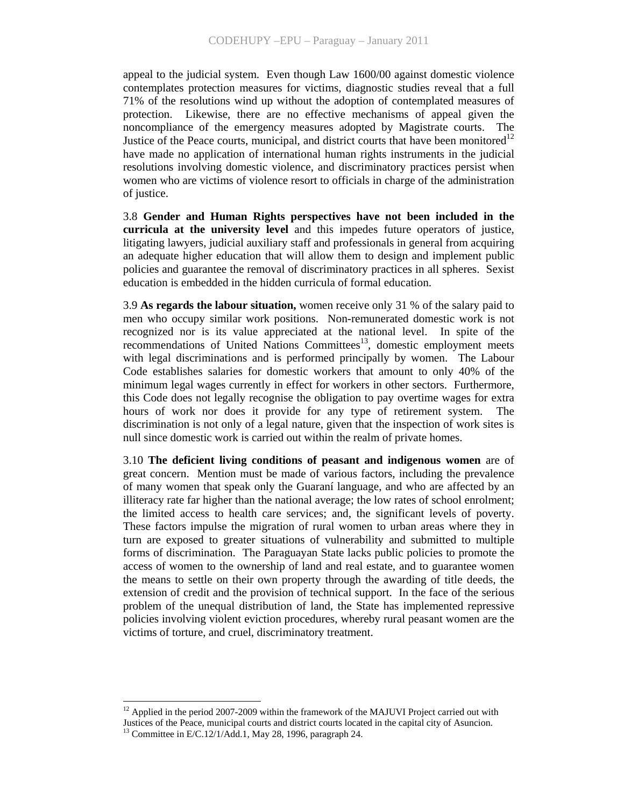appeal to the judicial system. Even though Law 1600/00 against domestic violence contemplates protection measures for victims, diagnostic studies reveal that a full 71% of the resolutions wind up without the adoption of contemplated measures of protection. Likewise, there are no effective mechanisms of appeal given the noncompliance of the emergency measures adopted by Magistrate courts. The Justice of the Peace courts, municipal, and district courts that have been monitored<sup>12</sup> have made no application of international human rights instruments in the judicial resolutions involving domestic violence, and discriminatory practices persist when women who are victims of violence resort to officials in charge of the administration of justice.

3.8 **Gender and Human Rights perspectives have not been included in the curricula at the university level** and this impedes future operators of justice, litigating lawyers, judicial auxiliary staff and professionals in general from acquiring an adequate higher education that will allow them to design and implement public policies and guarantee the removal of discriminatory practices in all spheres. Sexist education is embedded in the hidden curricula of formal education.

3.9 **As regards the labour situation,** women receive only 31 % of the salary paid to men who occupy similar work positions. Non-remunerated domestic work is not recognized nor is its value appreciated at the national level. In spite of the recommendations of United Nations Committees $13$ , domestic employment meets with legal discriminations and is performed principally by women. The Labour Code establishes salaries for domestic workers that amount to only 40% of the minimum legal wages currently in effect for workers in other sectors. Furthermore, this Code does not legally recognise the obligation to pay overtime wages for extra hours of work nor does it provide for any type of retirement system. The discrimination is not only of a legal nature, given that the inspection of work sites is null since domestic work is carried out within the realm of private homes.

3.10 **The deficient living conditions of peasant and indigenous women** are of great concern. Mention must be made of various factors, including the prevalence of many women that speak only the Guaraní language, and who are affected by an illiteracy rate far higher than the national average; the low rates of school enrolment; the limited access to health care services; and, the significant levels of poverty. These factors impulse the migration of rural women to urban areas where they in turn are exposed to greater situations of vulnerability and submitted to multiple forms of discrimination. The Paraguayan State lacks public policies to promote the access of women to the ownership of land and real estate, and to guarantee women the means to settle on their own property through the awarding of title deeds, the extension of credit and the provision of technical support. In the face of the serious problem of the unequal distribution of land, the State has implemented repressive policies involving violent eviction procedures, whereby rural peasant women are the victims of torture, and cruel, discriminatory treatment.

 $\overline{a}$ 

 $12$  Applied in the period 2007-2009 within the framework of the MAJUVI Project carried out with

Justices of the Peace, municipal courts and district courts located in the capital city of Asuncion.

<sup>13</sup> Committee in E/C.12/1/Add.1, May 28, 1996, paragraph 24.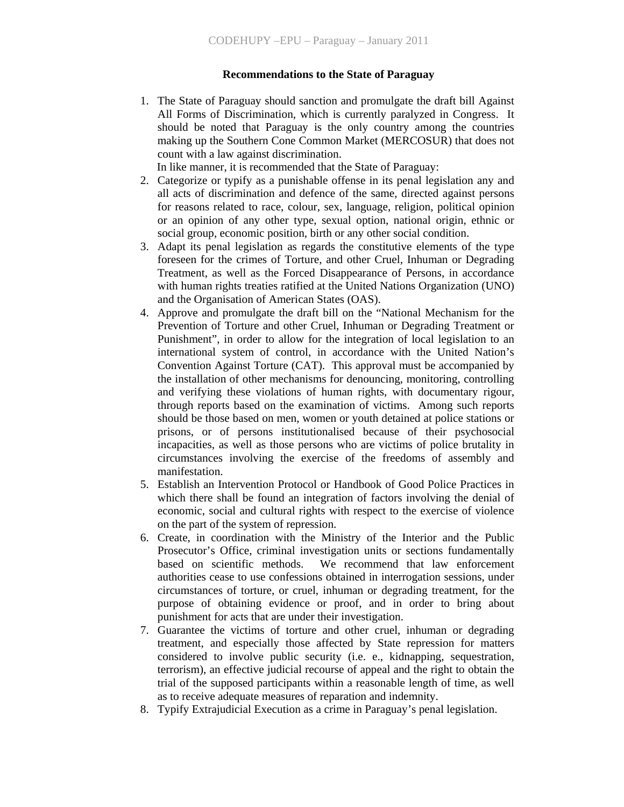#### **Recommendations to the State of Paraguay**

1. The State of Paraguay should sanction and promulgate the draft bill Against All Forms of Discrimination, which is currently paralyzed in Congress. It should be noted that Paraguay is the only country among the countries making up the Southern Cone Common Market (MERCOSUR) that does not count with a law against discrimination.

In like manner, it is recommended that the State of Paraguay:

- 2. Categorize or typify as a punishable offense in its penal legislation any and all acts of discrimination and defence of the same, directed against persons for reasons related to race, colour, sex, language, religion, political opinion or an opinion of any other type, sexual option, national origin, ethnic or social group, economic position, birth or any other social condition.
- 3. Adapt its penal legislation as regards the constitutive elements of the type foreseen for the crimes of Torture, and other Cruel, Inhuman or Degrading Treatment, as well as the Forced Disappearance of Persons, in accordance with human rights treaties ratified at the United Nations Organization (UNO) and the Organisation of American States (OAS).
- 4. Approve and promulgate the draft bill on the "National Mechanism for the Prevention of Torture and other Cruel, Inhuman or Degrading Treatment or Punishment", in order to allow for the integration of local legislation to an international system of control, in accordance with the United Nation's Convention Against Torture (CAT). This approval must be accompanied by the installation of other mechanisms for denouncing, monitoring, controlling and verifying these violations of human rights, with documentary rigour, through reports based on the examination of victims. Among such reports should be those based on men, women or youth detained at police stations or prisons, or of persons institutionalised because of their psychosocial incapacities, as well as those persons who are victims of police brutality in circumstances involving the exercise of the freedoms of assembly and manifestation.
- 5. Establish an Intervention Protocol or Handbook of Good Police Practices in which there shall be found an integration of factors involving the denial of economic, social and cultural rights with respect to the exercise of violence on the part of the system of repression.
- 6. Create, in coordination with the Ministry of the Interior and the Public Prosecutor's Office, criminal investigation units or sections fundamentally based on scientific methods. We recommend that law enforcement authorities cease to use confessions obtained in interrogation sessions, under circumstances of torture, or cruel, inhuman or degrading treatment, for the purpose of obtaining evidence or proof, and in order to bring about punishment for acts that are under their investigation.
- 7. Guarantee the victims of torture and other cruel, inhuman or degrading treatment, and especially those affected by State repression for matters considered to involve public security (i.e. e., kidnapping, sequestration, terrorism), an effective judicial recourse of appeal and the right to obtain the trial of the supposed participants within a reasonable length of time, as well as to receive adequate measures of reparation and indemnity.
- 8. Typify Extrajudicial Execution as a crime in Paraguay's penal legislation.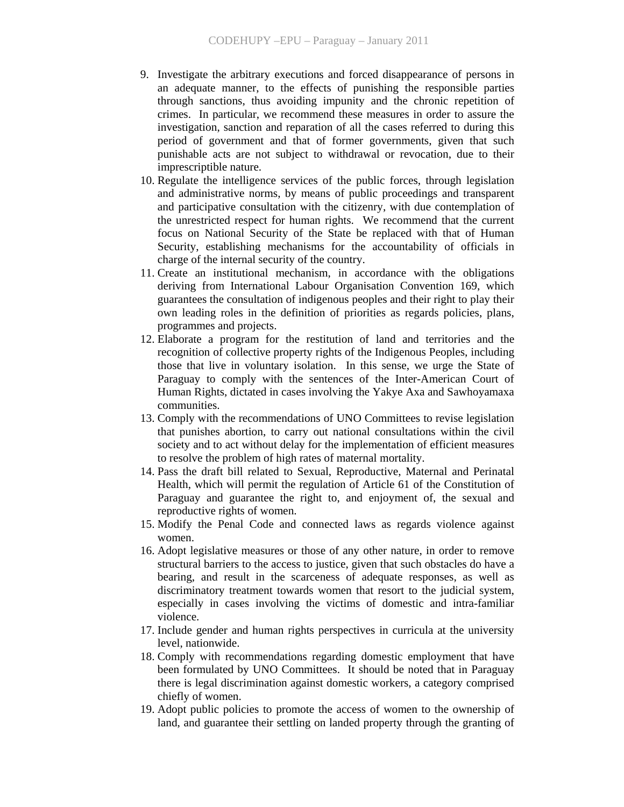- 9. Investigate the arbitrary executions and forced disappearance of persons in an adequate manner, to the effects of punishing the responsible parties through sanctions, thus avoiding impunity and the chronic repetition of crimes. In particular, we recommend these measures in order to assure the investigation, sanction and reparation of all the cases referred to during this period of government and that of former governments, given that such punishable acts are not subject to withdrawal or revocation, due to their imprescriptible nature.
- 10. Regulate the intelligence services of the public forces, through legislation and administrative norms, by means of public proceedings and transparent and participative consultation with the citizenry, with due contemplation of the unrestricted respect for human rights. We recommend that the current focus on National Security of the State be replaced with that of Human Security, establishing mechanisms for the accountability of officials in charge of the internal security of the country.
- 11. Create an institutional mechanism, in accordance with the obligations deriving from International Labour Organisation Convention 169, which guarantees the consultation of indigenous peoples and their right to play their own leading roles in the definition of priorities as regards policies, plans, programmes and projects.
- 12. Elaborate a program for the restitution of land and territories and the recognition of collective property rights of the Indigenous Peoples, including those that live in voluntary isolation. In this sense, we urge the State of Paraguay to comply with the sentences of the Inter-American Court of Human Rights, dictated in cases involving the Yakye Axa and Sawhoyamaxa communities.
- 13. Comply with the recommendations of UNO Committees to revise legislation that punishes abortion, to carry out national consultations within the civil society and to act without delay for the implementation of efficient measures to resolve the problem of high rates of maternal mortality.
- 14. Pass the draft bill related to Sexual, Reproductive, Maternal and Perinatal Health, which will permit the regulation of Article 61 of the Constitution of Paraguay and guarantee the right to, and enjoyment of, the sexual and reproductive rights of women.
- 15. Modify the Penal Code and connected laws as regards violence against women.
- 16. Adopt legislative measures or those of any other nature, in order to remove structural barriers to the access to justice, given that such obstacles do have a bearing, and result in the scarceness of adequate responses, as well as discriminatory treatment towards women that resort to the judicial system, especially in cases involving the victims of domestic and intra-familiar violence.
- 17. Include gender and human rights perspectives in curricula at the university level, nationwide.
- 18. Comply with recommendations regarding domestic employment that have been formulated by UNO Committees. It should be noted that in Paraguay there is legal discrimination against domestic workers, a category comprised chiefly of women.
- 19. Adopt public policies to promote the access of women to the ownership of land, and guarantee their settling on landed property through the granting of